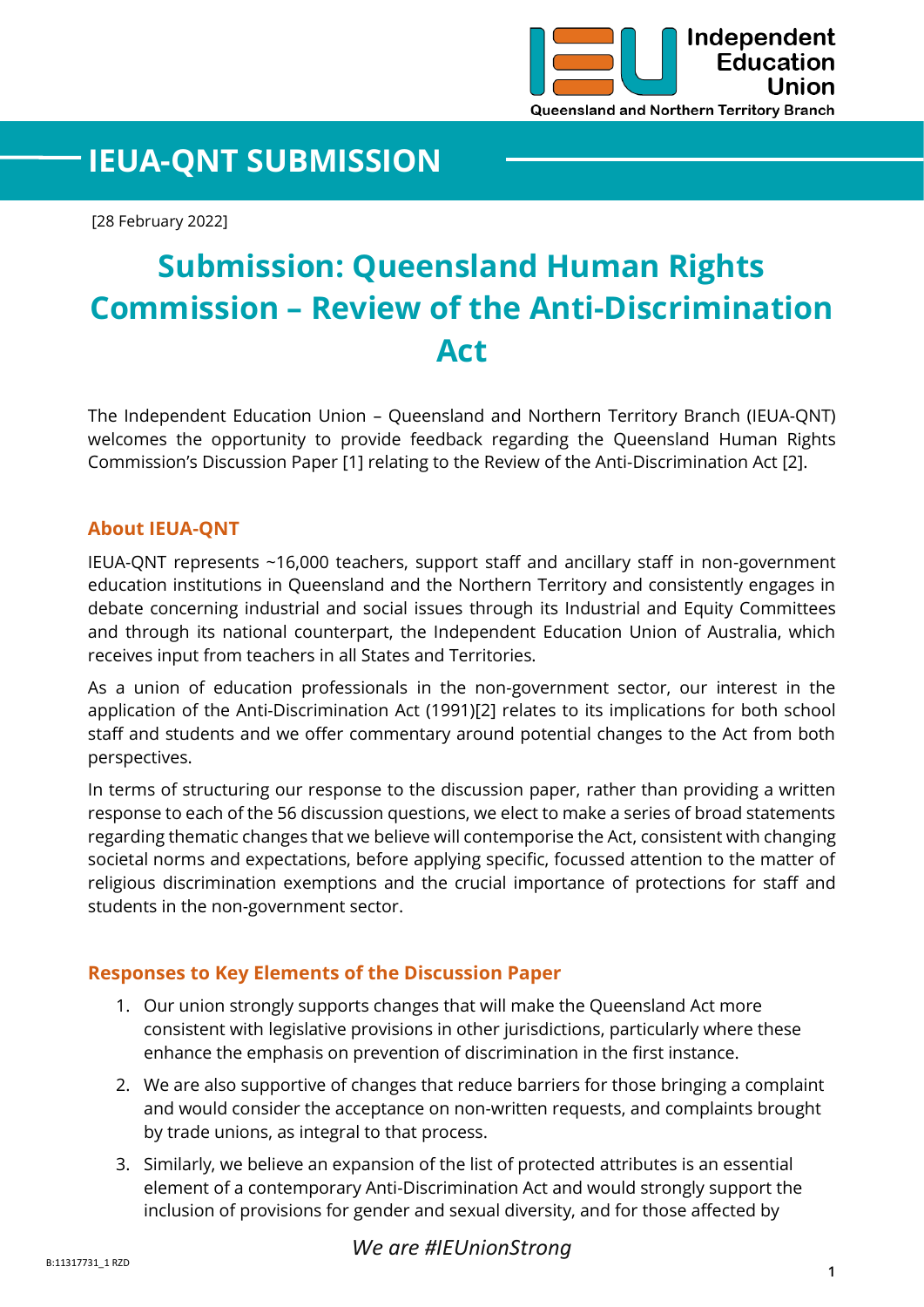

## **IEUA-QNT SUBMISSION**

[28 February 2022]

# **Submission: Queensland Human Rights Commission – Review of the Anti-Discrimination Act**

The Independent Education Union – Queensland and Northern Territory Branch (IEUA-QNT) welcomes the opportunity to provide feedback regarding the Queensland Human Rights Commission's Discussion Paper [1] relating to the Review of the Anti-Discrimination Act [2].

#### **About IEUA-QNT**

IEUA-QNT represents ~16,000 teachers, support staff and ancillary staff in non-government education institutions in Queensland and the Northern Territory and consistently engages in debate concerning industrial and social issues through its Industrial and Equity Committees and through its national counterpart, the Independent Education Union of Australia, which receives input from teachers in all States and Territories.

As a union of education professionals in the non-government sector, our interest in the application of the Anti-Discrimination Act (1991)[2] relates to its implications for both school staff and students and we offer commentary around potential changes to the Act from both perspectives.

In terms of structuring our response to the discussion paper, rather than providing a written response to each of the 56 discussion questions, we elect to make a series of broad statements regarding thematic changes that we believe will contemporise the Act, consistent with changing societal norms and expectations, before applying specific, focussed attention to the matter of religious discrimination exemptions and the crucial importance of protections for staff and students in the non-government sector.

#### **Responses to Key Elements of the Discussion Paper**

- 1. Our union strongly supports changes that will make the Queensland Act more consistent with legislative provisions in other jurisdictions, particularly where these enhance the emphasis on prevention of discrimination in the first instance.
- 2. We are also supportive of changes that reduce barriers for those bringing a complaint and would consider the acceptance on non-written requests, and complaints brought by trade unions, as integral to that process.
- 3. Similarly, we believe an expansion of the list of protected attributes is an essential element of a contemporary Anti-Discrimination Act and would strongly support the inclusion of provisions for gender and sexual diversity, and for those affected by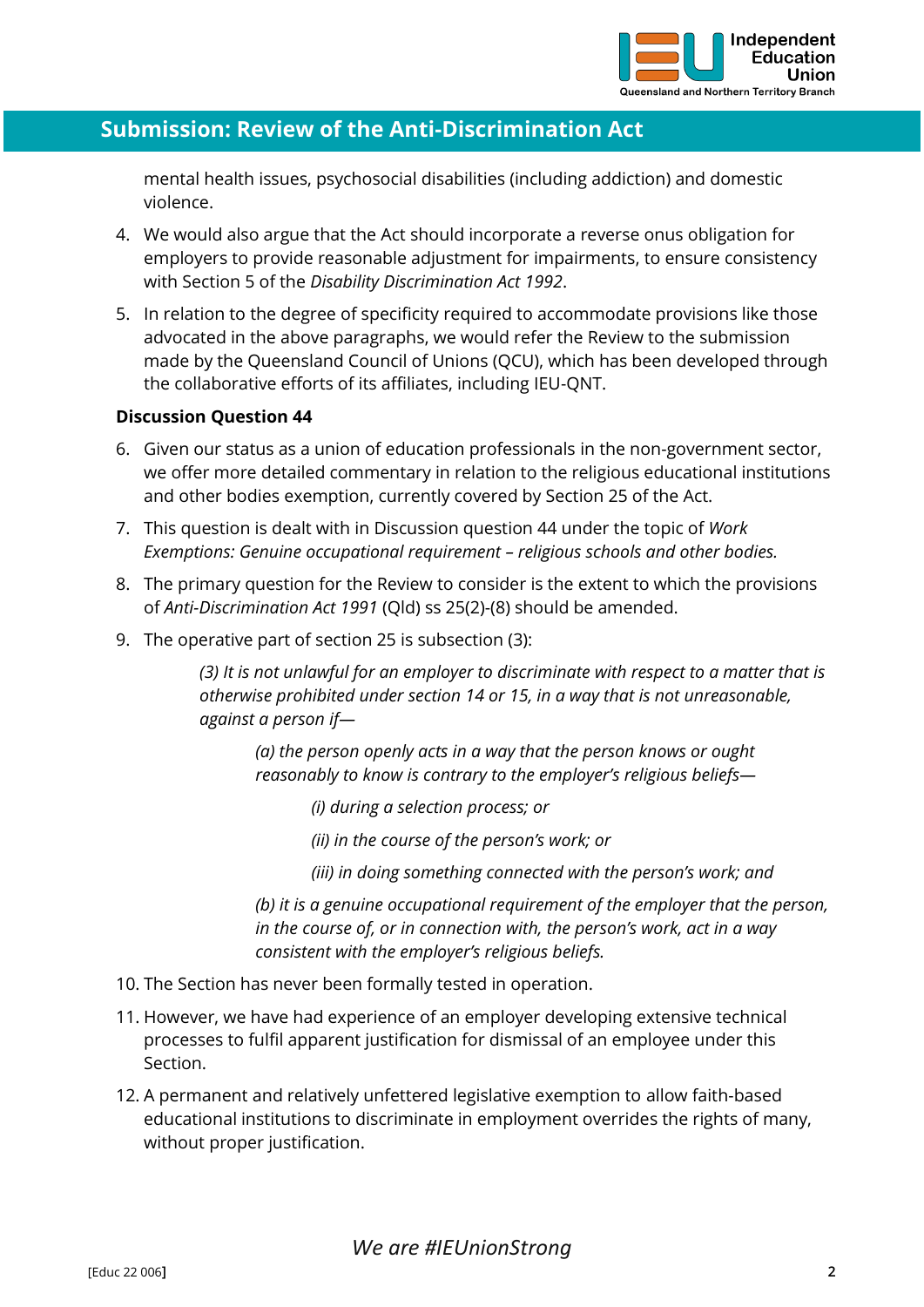

## **Submission: Review of the Anti-Discrimination Act**

mental health issues, psychosocial disabilities (including addiction) and domestic violence.

- 4. We would also argue that the Act should incorporate a reverse onus obligation for employers to provide reasonable adjustment for impairments, to ensure consistency with Section 5 of the *Disability Discrimination Act 1992*.
- 5. In relation to the degree of specificity required to accommodate provisions like those advocated in the above paragraphs, we would refer the Review to the submission made by the Queensland Council of Unions (QCU), which has been developed through the collaborative efforts of its affiliates, including IEU-QNT.

#### **Discussion Question 44**

- 6. Given our status as a union of education professionals in the non-government sector, we offer more detailed commentary in relation to the religious educational institutions and other bodies exemption, currently covered by Section 25 of the Act.
- 7. This question is dealt with in Discussion question 44 under the topic of *Work Exemptions: Genuine occupational requirement – religious schools and other bodies.*
- 8. The primary question for the Review to consider is the extent to which the provisions of *Anti-Discrimination Act 1991* (Qld) ss 25(2)-(8) should be amended.
- 9. The operative part of section 25 is subsection (3):

*(3) It is not unlawful for an employer to discriminate with respect to a matter that is otherwise prohibited under section 14 or 15, in a way that is not unreasonable, against a person if—*

*(a) the person openly acts in a way that the person knows or ought reasonably to know is contrary to the employer's religious beliefs—*

*(i) during a selection process; or*

*(ii) in the course of the person's work; or*

*(iii) in doing something connected with the person's work; and*

*(b) it is a genuine occupational requirement of the employer that the person, in the course of, or in connection with, the person's work, act in a way consistent with the employer's religious beliefs.*

- 10. The Section has never been formally tested in operation.
- 11. However, we have had experience of an employer developing extensive technical processes to fulfil apparent justification for dismissal of an employee under this Section.
- 12. A permanent and relatively unfettered legislative exemption to allow faith-based educational institutions to discriminate in employment overrides the rights of many, without proper justification.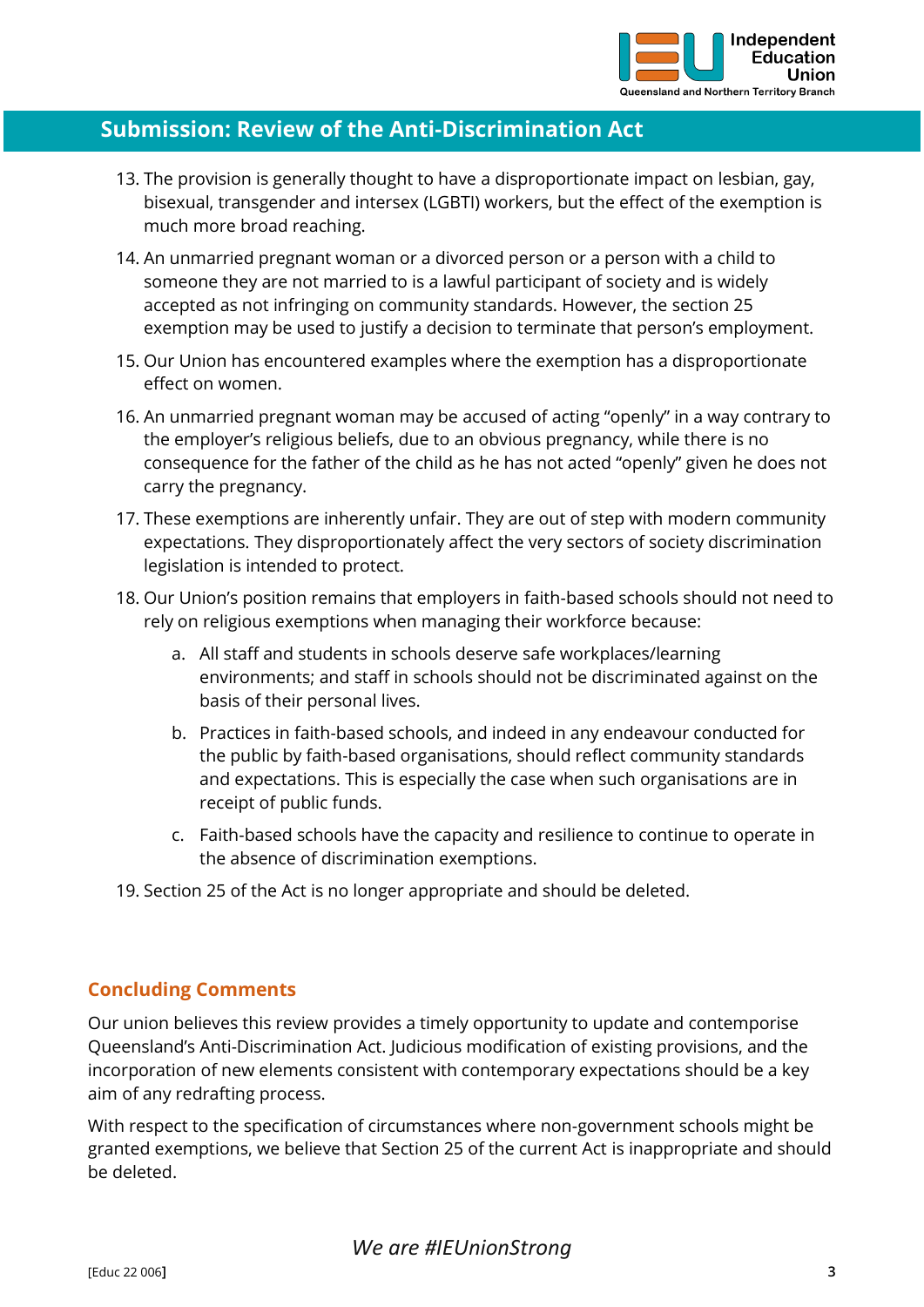

## **Submission: Review of the Anti-Discrimination Act**

- 13. The provision is generally thought to have a disproportionate impact on lesbian, gay, bisexual, transgender and intersex (LGBTI) workers, but the effect of the exemption is much more broad reaching.
- 14. An unmarried pregnant woman or a divorced person or a person with a child to someone they are not married to is a lawful participant of society and is widely accepted as not infringing on community standards. However, the section 25 exemption may be used to justify a decision to terminate that person's employment.
- 15. Our Union has encountered examples where the exemption has a disproportionate effect on women.
- 16. An unmarried pregnant woman may be accused of acting "openly" in a way contrary to the employer's religious beliefs, due to an obvious pregnancy, while there is no consequence for the father of the child as he has not acted "openly" given he does not carry the pregnancy.
- 17. These exemptions are inherently unfair. They are out of step with modern community expectations. They disproportionately affect the very sectors of society discrimination legislation is intended to protect.
- 18. Our Union's position remains that employers in faith-based schools should not need to rely on religious exemptions when managing their workforce because:
	- a. All staff and students in schools deserve safe workplaces/learning environments; and staff in schools should not be discriminated against on the basis of their personal lives.
	- b. Practices in faith-based schools, and indeed in any endeavour conducted for the public by faith-based organisations, should reflect community standards and expectations. This is especially the case when such organisations are in receipt of public funds.
	- c. Faith-based schools have the capacity and resilience to continue to operate in the absence of discrimination exemptions.
- 19. Section 25 of the Act is no longer appropriate and should be deleted.

#### **Concluding Comments**

Our union believes this review provides a timely opportunity to update and contemporise Queensland's Anti-Discrimination Act. Judicious modification of existing provisions, and the incorporation of new elements consistent with contemporary expectations should be a key aim of any redrafting process.

With respect to the specification of circumstances where non-government schools might be granted exemptions, we believe that Section 25 of the current Act is inappropriate and should be deleted.